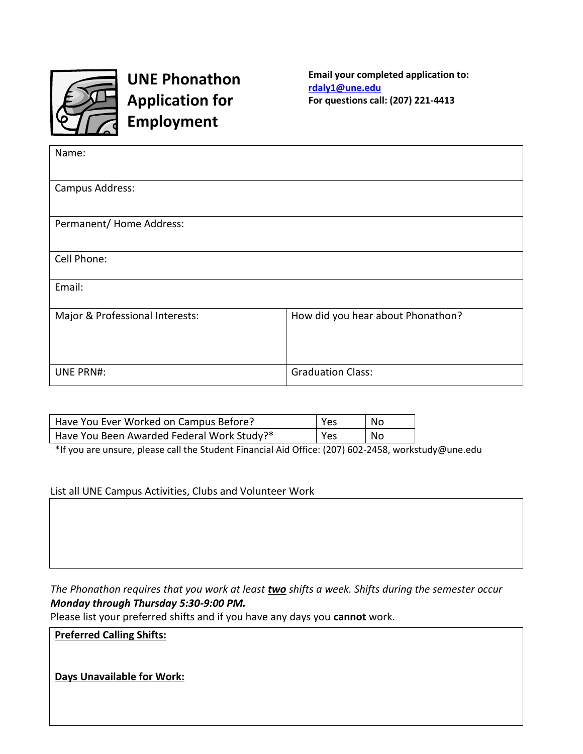

**UNE Phonathon Application for Employment**

**Email your completed application to: [rdaly1@une.edu](mailto:rdaly1@une.edu) For questions call: (207) 221-4413**

| Name:                           |                                   |
|---------------------------------|-----------------------------------|
| Campus Address:                 |                                   |
| Permanent/ Home Address:        |                                   |
| Cell Phone:                     |                                   |
| Email:                          |                                   |
| Major & Professional Interests: | How did you hear about Phonathon? |
| <b>UNE PRN#:</b>                | <b>Graduation Class:</b>          |

| Have You Ever Worked on Campus Before?     | Yes | No. |
|--------------------------------------------|-----|-----|
| Have You Been Awarded Federal Work Study?* | Yes | No  |

\*If you are unsure, please call the Student Financial Aid Office: (207) 602-2458, workstudy@une.edu

List all UNE Campus Activities, Clubs and Volunteer Work

*The Phonathon requires that you work at least two shifts a week. Shifts during the semester occur Monday through Thursday 5:30-9:00 PM.*

Please list your preferred shifts and if you have any days you **cannot** work.

**Preferred Calling Shifts:**

**Days Unavailable for Work:**